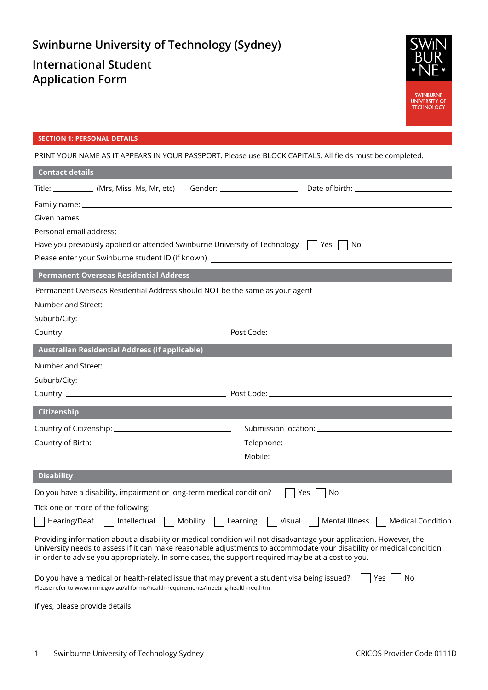# **Swinburne University of Technology (Sydney) International Student Application Form**



## **SECTION 1: PERSONAL DETAILS**

PRINT YOUR NAME AS IT APPEARS IN YOUR PASSPORT. Please use BLOCK CAPITALS. All fields must be completed.

| <b>Contact details</b>          |                                                                                     |                                                                                                    |                                                                                                                                                                                                                                            |
|---------------------------------|-------------------------------------------------------------------------------------|----------------------------------------------------------------------------------------------------|--------------------------------------------------------------------------------------------------------------------------------------------------------------------------------------------------------------------------------------------|
|                                 | Title: ______________ (Mrs, Miss, Ms, Mr, etc)                                      | Gender: ______________________                                                                     |                                                                                                                                                                                                                                            |
|                                 |                                                                                     |                                                                                                    |                                                                                                                                                                                                                                            |
|                                 |                                                                                     |                                                                                                    |                                                                                                                                                                                                                                            |
|                                 |                                                                                     | Personal email address:                                                                            |                                                                                                                                                                                                                                            |
|                                 |                                                                                     | Have you previously applied or attended Swinburne University of Technology                         | $ $ Yes<br>No                                                                                                                                                                                                                              |
|                                 |                                                                                     | Please enter your Swinburne student ID (if known) ______________________________                   |                                                                                                                                                                                                                                            |
|                                 | <b>Permanent Overseas Residential Address</b>                                       |                                                                                                    |                                                                                                                                                                                                                                            |
|                                 |                                                                                     | Permanent Overseas Residential Address should NOT be the same as your agent                        |                                                                                                                                                                                                                                            |
|                                 |                                                                                     |                                                                                                    |                                                                                                                                                                                                                                            |
|                                 |                                                                                     |                                                                                                    |                                                                                                                                                                                                                                            |
|                                 |                                                                                     |                                                                                                    |                                                                                                                                                                                                                                            |
|                                 | <b>Australian Residential Address (if applicable)</b>                               |                                                                                                    |                                                                                                                                                                                                                                            |
|                                 |                                                                                     |                                                                                                    |                                                                                                                                                                                                                                            |
|                                 |                                                                                     |                                                                                                    |                                                                                                                                                                                                                                            |
|                                 |                                                                                     |                                                                                                    |                                                                                                                                                                                                                                            |
| Citizenship                     |                                                                                     |                                                                                                    |                                                                                                                                                                                                                                            |
|                                 |                                                                                     |                                                                                                    |                                                                                                                                                                                                                                            |
|                                 |                                                                                     |                                                                                                    |                                                                                                                                                                                                                                            |
|                                 |                                                                                     |                                                                                                    |                                                                                                                                                                                                                                            |
| <b>Disability</b>               |                                                                                     |                                                                                                    |                                                                                                                                                                                                                                            |
|                                 | Do you have a disability, impairment or long-term medical condition?                |                                                                                                    | Yes<br>No                                                                                                                                                                                                                                  |
|                                 | Tick one or more of the following:                                                  |                                                                                                    |                                                                                                                                                                                                                                            |
| $Hearing/Deaf$                  | Intellectual                                                                        | Mobility<br>Learning<br>Visual                                                                     | Mental Illness<br><b>Medical Condition</b>                                                                                                                                                                                                 |
|                                 |                                                                                     | in order to advise you appropriately. In some cases, the support required may be at a cost to you. | Providing information about a disability or medical condition will not disadvantage your application. However, the<br>University needs to assess if it can make reasonable adjustments to accommodate your disability or medical condition |
|                                 | Please refer to www.immi.gov.au/allforms/health-requirements/meeting-health-req.htm | Do you have a medical or health-related issue that may prevent a student visa being issued?        | Yes<br>No                                                                                                                                                                                                                                  |
| If yes, please provide details: |                                                                                     |                                                                                                    |                                                                                                                                                                                                                                            |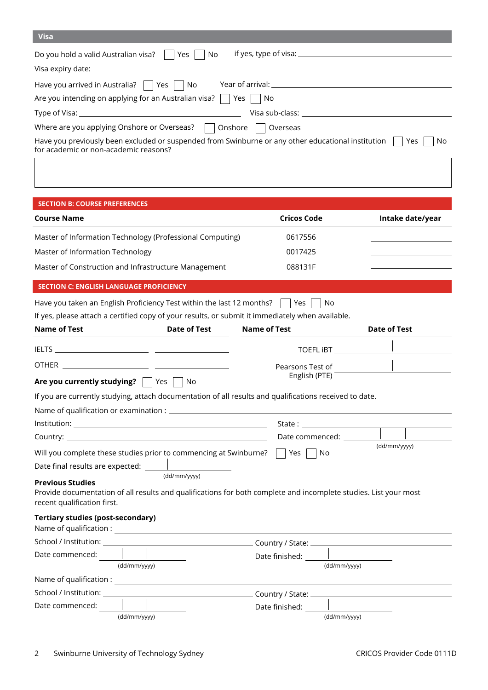| <b>Visa</b>                                                                                               |     |
|-----------------------------------------------------------------------------------------------------------|-----|
| Do you hold a valid Australian visa?  <br>  Yes  <br>No                                                   |     |
|                                                                                                           |     |
| Have you arrived in Australia? $\vert$   Yes $\vert$   No                                                 |     |
| Are you intending on applying for an Australian visa? $\vert$   Yes     No                                |     |
| Visa sub-class:                                                                                           |     |
| Where are you applying Onshore or Overseas? $\Box$ Onshore<br>Overseas                                    |     |
| Have you previously been excluded or suspended from Swinburne or any other educational institution<br>Yes | No. |

| Have you previously been excluded or suspended from Swinburne or any other educational institution $ $ $ $ Yes $ $ $ $ N |  |  |
|--------------------------------------------------------------------------------------------------------------------------|--|--|
| for academic or non-academic reasons?                                                                                    |  |  |

## **SECTION B: COURSE PREFERENCES**

| <b>Course Name</b>                                        | Cricos Code | Intake date/year |
|-----------------------------------------------------------|-------------|------------------|
| Master of Information Technology (Professional Computing) | 0617556     |                  |
| Master of Information Technology                          | 0017425     |                  |
| Master of Construction and Infrastructure Management      | 088131F     |                  |

## **SECTION C: ENGLISH LANGUAGE PROFICIENCY**

| Have you taken an English Proficiency Test within the last 12 months? $\Box$ Yes $\Box$ No |  |  |  |  |
|--------------------------------------------------------------------------------------------|--|--|--|--|
|--------------------------------------------------------------------------------------------|--|--|--|--|

If yes, please attach a certified copy of your results, or submit it immediately when available.

| <b>Name of Test</b>                                                                                | <b>Date of Test</b> | <b>Name of Test</b>                                                                                                                                                                                        | <b>Date of Test</b> |
|----------------------------------------------------------------------------------------------------|---------------------|------------------------------------------------------------------------------------------------------------------------------------------------------------------------------------------------------------|---------------------|
|                                                                                                    |                     |                                                                                                                                                                                                            |                     |
|                                                                                                    |                     | Pearsons Test of                                                                                                                                                                                           |                     |
| <b>Are you currently studying?</b> $\vert \cdot \vert$ Yes $\vert \cdot \vert$ No                  |                     | English (PTE)                                                                                                                                                                                              |                     |
|                                                                                                    |                     | If you are currently studying, attach documentation of all results and qualifications received to date.                                                                                                    |                     |
|                                                                                                    |                     |                                                                                                                                                                                                            |                     |
|                                                                                                    |                     |                                                                                                                                                                                                            |                     |
|                                                                                                    |                     | Date commenced:                                                                                                                                                                                            | (dd/mm/yyyy)        |
| <b>Previous Studies</b><br>recent qualification first.<br><b>Tertiary studies (post-secondary)</b> | (dd/mm/yyyy)        | Will you complete these studies prior to commencing at Swinburne? $\Box$ Yes $\Box$ No<br>Provide documentation of all results and qualifications for both complete and incomplete studies. List your most |                     |
|                                                                                                    |                     |                                                                                                                                                                                                            |                     |
|                                                                                                    |                     |                                                                                                                                                                                                            |                     |
| and the control of the control of<br>Date commenced:                                               | (dd/mm/yyyy)        | Date finished: $\frac{1}{\sqrt{1-\frac{1}{2}}}\$                                                                                                                                                           | (dd/mm/yyyy)        |
|                                                                                                    |                     |                                                                                                                                                                                                            |                     |
|                                                                                                    |                     |                                                                                                                                                                                                            |                     |
| Date commenced:                                                                                    |                     |                                                                                                                                                                                                            |                     |
|                                                                                                    | (dd/mm/yyyy)        |                                                                                                                                                                                                            | (dd/mm/yyyy)        |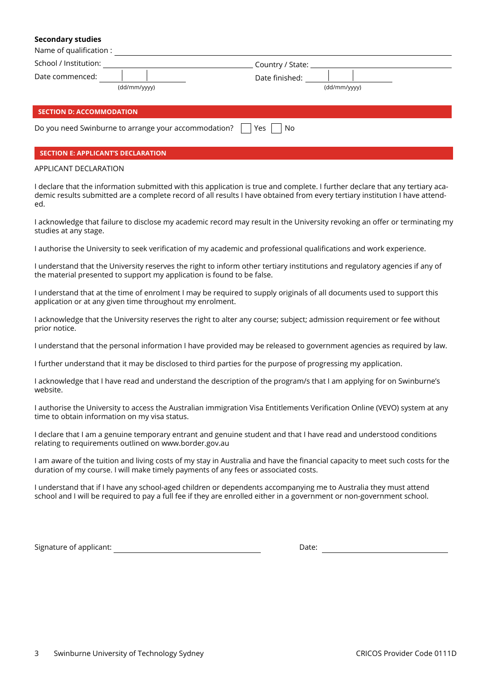#### **Secondary studies**

| Name of qualification :                  |                                                      |                                      |              |  |  |
|------------------------------------------|------------------------------------------------------|--------------------------------------|--------------|--|--|
| School / Institution:<br>Date commenced: | (dd/mm/yyyy)                                         | Country / State: _<br>Date finished: | (dd/mm/yyyy) |  |  |
| <b>SECTION D: ACCOMMODATION</b>          |                                                      |                                      |              |  |  |
|                                          | Do you need Swinburne to arrange your accommodation? | Yes<br>No.                           |              |  |  |

## **SECTION E: APPLICANT'S DECLARATION**

## APPLICANT DECLARATION

I declare that the information submitted with this application is true and complete. I further declare that any tertiary academic results submitted are a complete record of all results I have obtained from every tertiary institution I have attended.

I acknowledge that failure to disclose my academic record may result in the University revoking an offer or terminating my studies at any stage.

I authorise the University to seek verification of my academic and professional qualifications and work experience.

I understand that the University reserves the right to inform other tertiary institutions and regulatory agencies if any of the material presented to support my application is found to be false.

I understand that at the time of enrolment I may be required to supply originals of all documents used to support this application or at any given time throughout my enrolment.

I acknowledge that the University reserves the right to alter any course; subject; admission requirement or fee without prior notice.

I understand that the personal information I have provided may be released to government agencies as required by law.

I further understand that it may be disclosed to third parties for the purpose of progressing my application.

I acknowledge that I have read and understand the description of the program/s that I am applying for on Swinburne's website.

I authorise the University to access the Australian immigration Visa Entitlements Verification Online (VEVO) system at any time to obtain information on my visa status.

I declare that I am a genuine temporary entrant and genuine student and that I have read and understood conditions relating to requirements outlined on www.border.gov.au

I am aware of the tuition and living costs of my stay in Australia and have the financial capacity to meet such costs for the duration of my course. I will make timely payments of any fees or associated costs.

I understand that if I have any school-aged children or dependents accompanying me to Australia they must attend school and I will be required to pay a full fee if they are enrolled either in a government or non-government school.

Signature of applicant: Date: